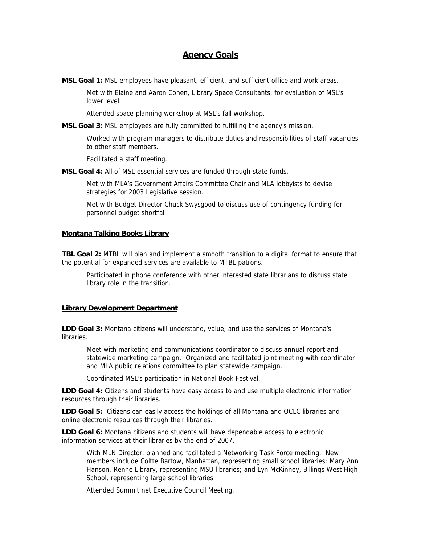# **Agency Goals**

**MSL Goal 1:** MSL employees have pleasant, efficient, and sufficient office and work areas.

Met with Elaine and Aaron Cohen, Library Space Consultants, for evaluation of MSL's lower level.

Attended space-planning workshop at MSL's fall workshop.

**MSL Goal 3:** MSL employees are fully committed to fulfilling the agency's mission.

Worked with program managers to distribute duties and responsibilities of staff vacancies to other staff members.

Facilitated a staff meeting.

**MSL Goal 4:** All of MSL essential services are funded through state funds.

Met with MLA's Government Affairs Committee Chair and MLA lobbyists to devise strategies for 2003 Legislative session.

Met with Budget Director Chuck Swysgood to discuss use of contingency funding for personnel budget shortfall.

#### **Montana Talking Books Library**

**TBL Goal 2:** MTBL will plan and implement a smooth transition to a digital format to ensure that the potential for expanded services are available to MTBL patrons.

Participated in phone conference with other interested state librarians to discuss state library role in the transition.

## **Library Development Department**

**LDD Goal 3:** Montana citizens will understand, value, and use the services of Montana's libraries.

Meet with marketing and communications coordinator to discuss annual report and statewide marketing campaign. Organized and facilitated joint meeting with coordinator and MLA public relations committee to plan statewide campaign.

Coordinated MSL's participation in National Book Festival.

**LDD Goal 4:** Citizens and students have easy access to and use multiple electronic information resources through their libraries.

**LDD Goal 5:** Citizens can easily access the holdings of all Montana and OCLC libraries and online electronic resources through their libraries.

**LDD Goal 6:** Montana citizens and students will have dependable access to electronic information services at their libraries by the end of 2007.

With MLN Director, planned and facilitated a Networking Task Force meeting. New members include Coltte Bartow, Manhattan, representing small school libraries; Mary Ann Hanson, Renne Library, representing MSU libraries; and Lyn McKinney, Billings West High School, representing large school libraries.

Attended Summit net Executive Council Meeting.